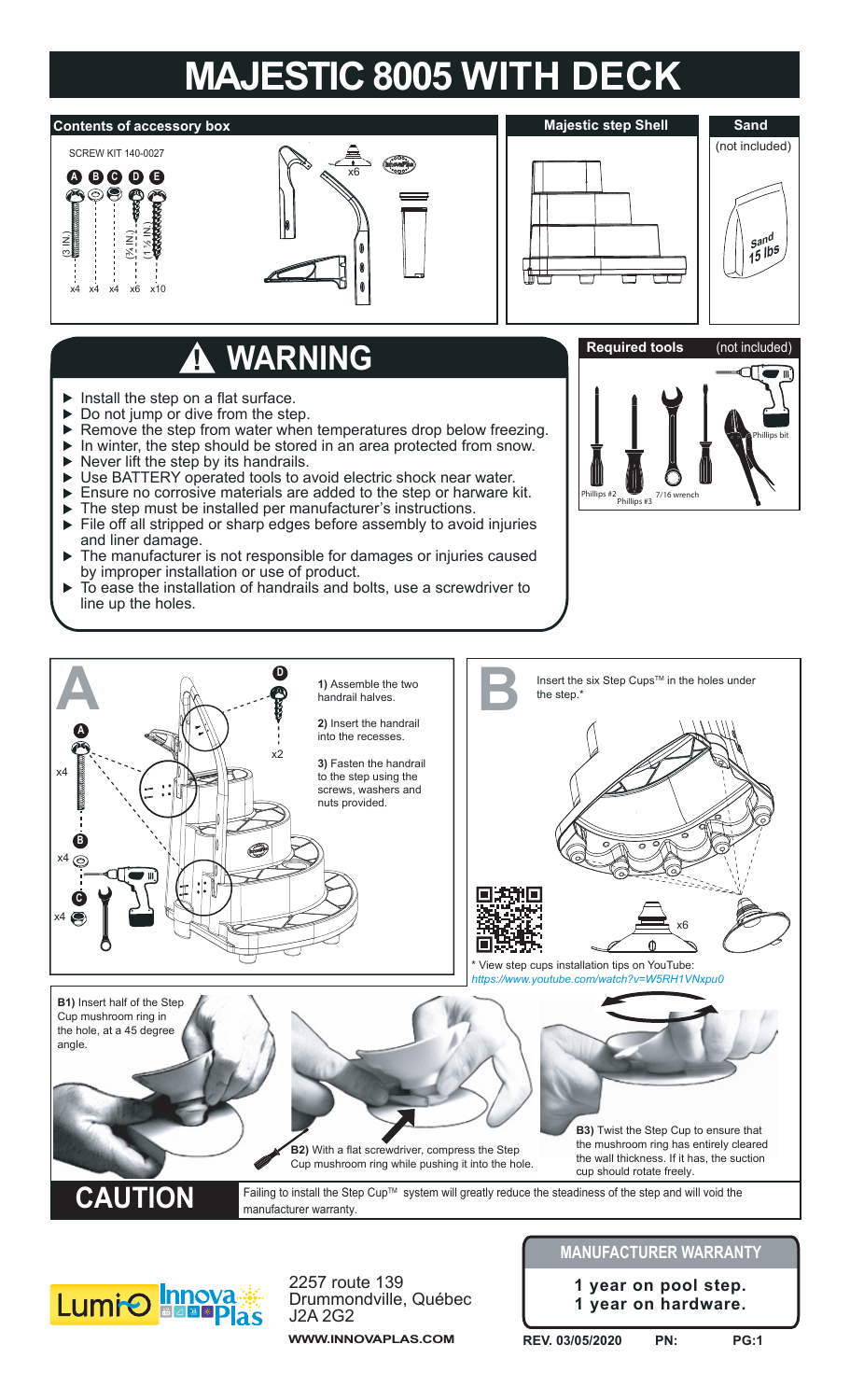## **MAJESTIC 8005 WITH DECK**



## **WARNING**

- $\blacktriangleright$  Install the step on a flat surface.
- ▶ Do not jump or dive from the step.
- $\blacktriangleright$ Remove the step from water when temperatures drop below freezing.
- In winter, the step should be stored in an area protected from snow.  $\blacktriangleright$
- $\blacktriangleright$  Never lift the step by its handrails.
- Use BATTERY operated tools to avoid electric shock near water.  $\blacktriangleright$
- Ensure no corrosive materials are added to the step or harware kit.
- The step must be installed per manufacturer's instructions.
- File off all stripped or sharp edges before assembly to avoid injuries and liner damage.
- The manufacturer is not responsible for damages or injuries caused ь by improper installation or use of product.
- Ь To ease the installation of handrails and bolts, use a screwdriver to line up the holes.







2257 route 139 Drummondville, Québec J2A 2G2

**WWW.INNOVAPLAS.COM**

## **MANUFACTURER WARRANTY**

**1 year on pool step. 1 year on hardware.**

**REV. 03/05/2020 PN: PG:1**